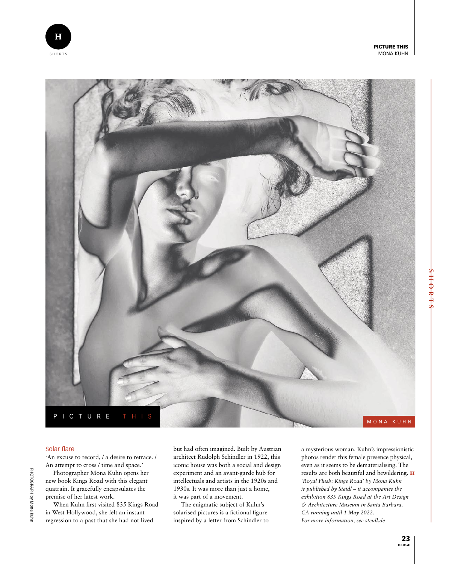PICTURE THIS MONA KUHN



## Solar flare

'An excuse to record, / a desire to retrace. / An attempt to cross / time and space.'

PICTURE THIS

Photographer Mona Kuhn opens her new book Kings Road with this elegant quatrain. It gracefully encapsulates the premise of her latest work.

When Kuhn first visited 835 Kings Road in West Hollywood, she felt an instant regression to a past that she had not lived

but had often imagined. Built by Austrian architect Rudolph Schindler in 1922, this iconic house was both a social and design experiment and an avant-garde hub for intellectuals and artists in the 1920s and 1930s. It was more than just a home, it was part of a movement.

The enigmatic subject of Kuhn's solarised pictures is a fictional figure inspired by a letter from Schindler to

a mysterious woman. Kuhn's impressionistic photos render this female presence physical, even as it seems to be dematerialising. The results are both beautiful and bewildering. H *'Royal Flush: Kings Road' by Mona Kuhn is published by Steidl – it accompanies the exhibition 835 Kings Road at the Art Design & Architecture Museum in Santa Barbara, CA running until 1 May 2022. For more information, see steidl.de*

Ή

MONA KUHN